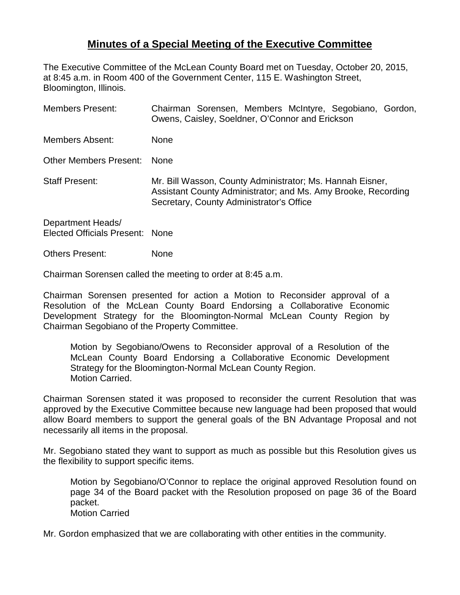## **Minutes of a Special Meeting of the Executive Committee**

The Executive Committee of the McLean County Board met on Tuesday, October 20, 2015, at 8:45 a.m. in Room 400 of the Government Center, 115 E. Washington Street, Bloomington, Illinois.

| <b>Members Present:</b>                              | Chairman Sorensen, Members McIntyre, Segobiano, Gordon,<br>Owens, Caisley, Soeldner, O'Connor and Erickson                                                             |
|------------------------------------------------------|------------------------------------------------------------------------------------------------------------------------------------------------------------------------|
| Members Absent:                                      | None                                                                                                                                                                   |
| Other Members Present:                               | <b>None</b>                                                                                                                                                            |
| <b>Staff Present:</b>                                | Mr. Bill Wasson, County Administrator; Ms. Hannah Eisner,<br>Assistant County Administrator; and Ms. Amy Brooke, Recording<br>Secretary, County Administrator's Office |
| Department Heads/<br>Elected Officials Present: None |                                                                                                                                                                        |

Others Present: None

Chairman Sorensen called the meeting to order at 8:45 a.m.

Chairman Sorensen presented for action a Motion to Reconsider approval of a Resolution of the McLean County Board Endorsing a Collaborative Economic Development Strategy for the Bloomington-Normal McLean County Region by Chairman Segobiano of the Property Committee.

Motion by Segobiano/Owens to Reconsider approval of a Resolution of the McLean County Board Endorsing a Collaborative Economic Development Strategy for the Bloomington-Normal McLean County Region. Motion Carried.

Chairman Sorensen stated it was proposed to reconsider the current Resolution that was approved by the Executive Committee because new language had been proposed that would allow Board members to support the general goals of the BN Advantage Proposal and not necessarily all items in the proposal.

Mr. Segobiano stated they want to support as much as possible but this Resolution gives us the flexibility to support specific items.

Motion by Segobiano/O'Connor to replace the original approved Resolution found on page 34 of the Board packet with the Resolution proposed on page 36 of the Board packet. Motion Carried

Mr. Gordon emphasized that we are collaborating with other entities in the community.